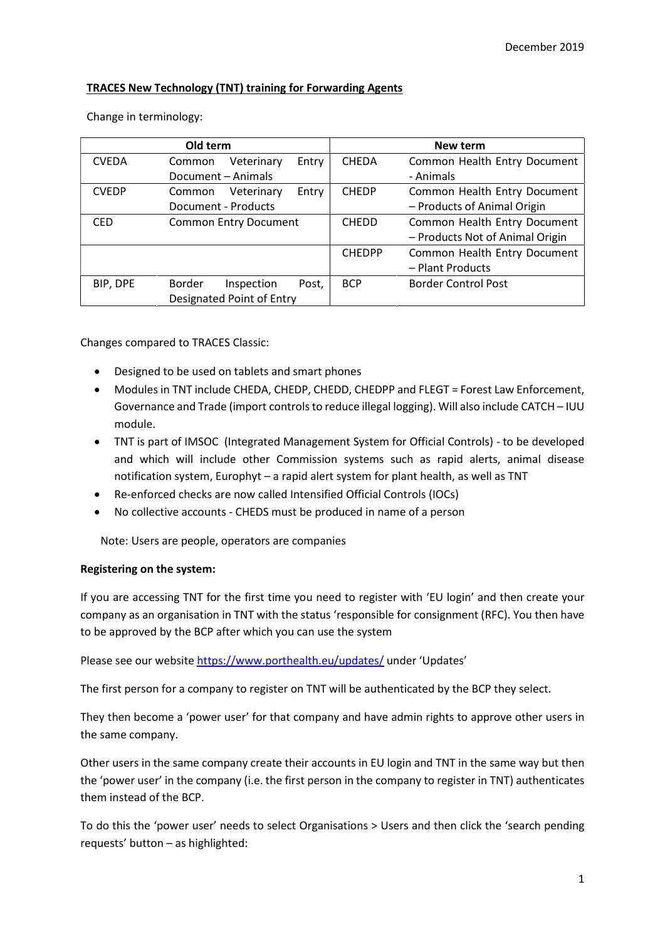# TRACES New Technology (TNT) training for Forwarding Agents

|              | Old term                             | New term      |                                 |  |  |  |
|--------------|--------------------------------------|---------------|---------------------------------|--|--|--|
| <b>CVEDA</b> | Veterinary<br>Entry<br>Common        | <b>CHEDA</b>  | Common Health Entry Document    |  |  |  |
|              | Document - Animals                   | - Animals     |                                 |  |  |  |
| <b>CVEDP</b> | Veterinary<br>Common<br>Entry        | <b>CHEDP</b>  | Common Health Entry Document    |  |  |  |
|              | Document - Products                  |               | - Products of Animal Origin     |  |  |  |
| <b>CED</b>   | <b>Common Entry Document</b>         | <b>CHEDD</b>  | Common Health Entry Document    |  |  |  |
|              |                                      |               | - Products Not of Animal Origin |  |  |  |
|              |                                      | <b>CHEDPP</b> | Common Health Entry Document    |  |  |  |
|              |                                      |               | - Plant Products                |  |  |  |
| BIP, DPE     | <b>Border</b><br>Inspection<br>Post, | <b>BCP</b>    | <b>Border Control Post</b>      |  |  |  |
|              | Designated Point of Entry            |               |                                 |  |  |  |

Changes compared to TRACES Classic:

- Designed to be used on tablets and smart phones
- Modules in TNT include CHEDA, CHEDP, CHEDD, CHEDPP and FLEGT = Forest Law Enforcement, Governance and Trade (import controls to reduce illegal logging). Will also include CATCH – IUU module.
- TNT is part of IMSOC (Integrated Management System for Official Controls) to be developed and which will include other Commission systems such as rapid alerts, animal disease notification system, Europhyt – a rapid alert system for plant health, as well as TNT
- Re-enforced checks are now called Intensified Official Controls (IOCs)
- No collective accounts CHEDS must be produced in name of a person

Note: Users are people, operators are companies

## Registering on the system:

If you are accessing TNT for the first time you need to register with 'EU login' and then create your company as an organisation in TNT with the status 'responsible for consignment (RFC). You then have to be approved by the BCP after which you can use the system

Please see our website https://www.porthealth.eu/updates/ under 'Updates'

The first person for a company to register on TNT will be authenticated by the BCP they select.

They then become a 'power user' for that company and have admin rights to approve other users in the same company.

Other users in the same company create their accounts in EU login and TNT in the same way but then the 'power user' in the company (i.e. the first person in the company to register in TNT) authenticates them instead of the BCP.

To do this the 'power user' needs to select Organisations > Users and then click the 'search pending requests' button – as highlighted: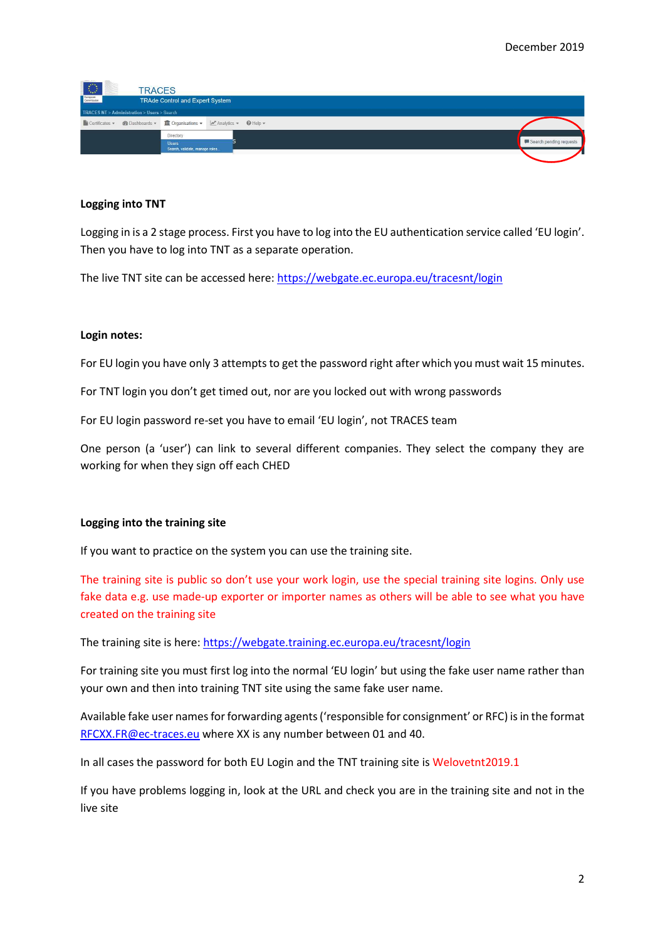| $\langle \langle \rangle \rangle$                           | <b>TRACES</b>                                                           |                         |
|-------------------------------------------------------------|-------------------------------------------------------------------------|-------------------------|
| European<br>Commission                                      | TRAde Control and Expert System                                         |                         |
| <b>TRACES NT &gt; Administration &gt; Users &gt; Search</b> |                                                                         |                         |
|                                                             | Certificates v @Dashboards v III Organisations v M Analytics v @ Help v |                         |
|                                                             | Directory                                                               |                         |
|                                                             | <b>Users</b>                                                            | Search pending requests |
|                                                             | Search, validate, manage roles                                          |                         |

## Logging into TNT

Logging in is a 2 stage process. First you have to log into the EU authentication service called 'EU login'. Then you have to log into TNT as a separate operation.

The live TNT site can be accessed here: https://webgate.ec.europa.eu/tracesnt/login

### Login notes:

For EU login you have only 3 attempts to get the password right after which you must wait 15 minutes.

For TNT login you don't get timed out, nor are you locked out with wrong passwords

For EU login password re-set you have to email 'EU login', not TRACES team

One person (a 'user') can link to several different companies. They select the company they are working for when they sign off each CHED

## Logging into the training site

If you want to practice on the system you can use the training site.

The training site is public so don't use your work login, use the special training site logins. Only use fake data e.g. use made-up exporter or importer names as others will be able to see what you have created on the training site

The training site is here: https://webgate.training.ec.europa.eu/tracesnt/login

For training site you must first log into the normal 'EU login' but using the fake user name rather than your own and then into training TNT site using the same fake user name.

Available fake user names for forwarding agents ('responsible for consignment' or RFC) is in the format RFCXX.FR@ec-traces.eu where XX is any number between 01 and 40.

In all cases the password for both EU Login and the TNT training site is Welovetnt2019.1

If you have problems logging in, look at the URL and check you are in the training site and not in the live site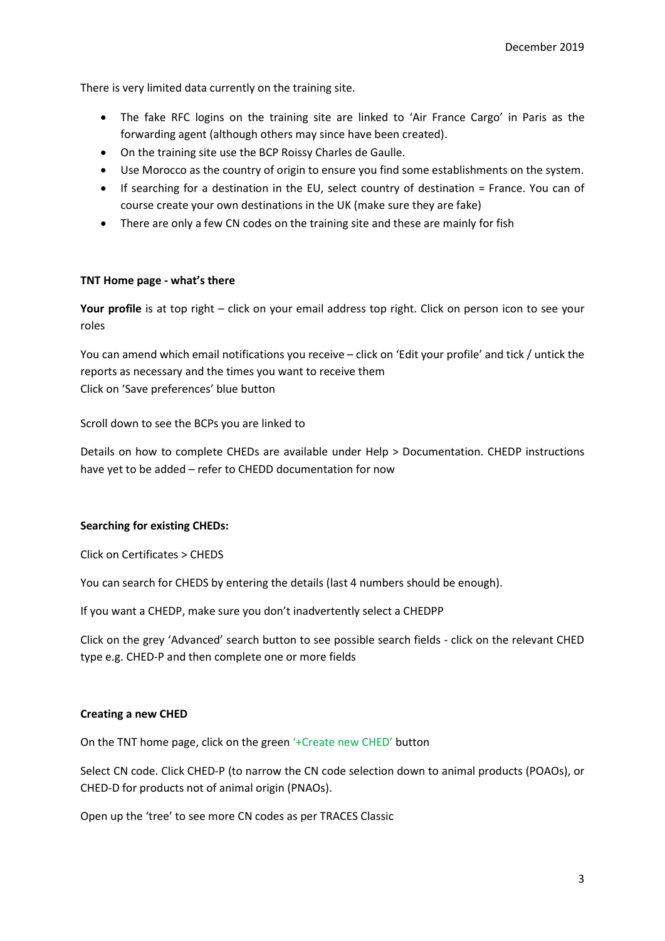There is very limited data currently on the training site.

- The fake RFC logins on the training site are linked to 'Air France Cargo' in Paris as the forwarding agent (although others may since have been created).
- On the training site use the BCP Roissy Charles de Gaulle.
- Use Morocco as the country of origin to ensure you find some establishments on the system.
- If searching for a destination in the EU, select country of destination = France. You can of course create your own destinations in the UK (make sure they are fake)
- There are only a few CN codes on the training site and these are mainly for fish

# TNT Home page - what's there

Your profile is at top right – click on your email address top right. Click on person icon to see your roles

You can amend which email notifications you receive – click on 'Edit your profile' and tick / untick the reports as necessary and the times you want to receive them Click on 'Save preferences' blue button

Scroll down to see the BCPs you are linked to

Details on how to complete CHEDs are available under Help > Documentation. CHEDP instructions have yet to be added – refer to CHEDD documentation for now

## Searching for existing CHEDs:

Click on Certificates > CHEDS

You can search for CHEDS by entering the details (last 4 numbers should be enough).

If you want a CHEDP, make sure you don't inadvertently select a CHEDPP

Click on the grey 'Advanced' search button to see possible search fields - click on the relevant CHED type e.g. CHED-P and then complete one or more fields

## Creating a new CHED

On the TNT home page, click on the green '+Create new CHED' button

Select CN code. Click CHED-P (to narrow the CN code selection down to animal products (POAOs), or CHED-D for products not of animal origin (PNAOs).

Open up the 'tree' to see more CN codes as per TRACES Classic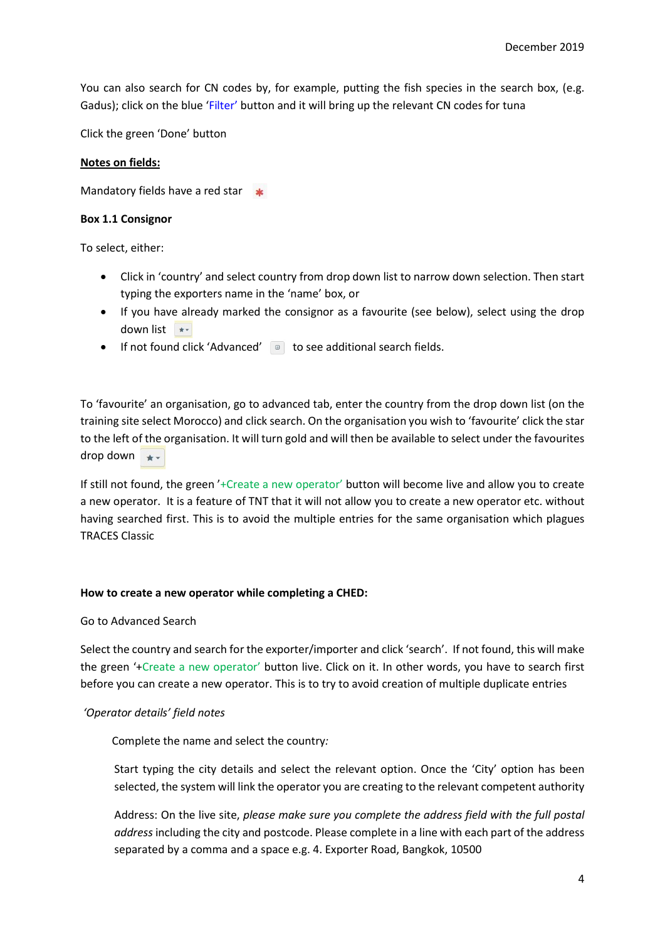You can also search for CN codes by, for example, putting the fish species in the search box, (e.g. Gadus); click on the blue 'Filter' button and it will bring up the relevant CN codes for tuna

Click the green 'Done' button

### Notes on fields:

Mandatory fields have a red star  $\ast$ 

### Box 1.1 Consignor

To select, either:

- Click in 'country' and select country from drop down list to narrow down selection. Then start typing the exporters name in the 'name' box, or
- If you have already marked the consignor as a favourite (see below), select using the drop down list
- $\bullet$  If not found click 'Advanced'  $\bullet$  to see additional search fields.

To 'favourite' an organisation, go to advanced tab, enter the country from the drop down list (on the training site select Morocco) and click search. On the organisation you wish to 'favourite' click the star to the left of the organisation. It will turn gold and will then be available to select under the favourites drop down  $\star$ 

If still not found, the green '+Create a new operator' button will become live and allow you to create a new operator. It is a feature of TNT that it will not allow you to create a new operator etc. without having searched first. This is to avoid the multiple entries for the same organisation which plagues TRACES Classic

### How to create a new operator while completing a CHED:

### Go to Advanced Search

Select the country and search for the exporter/importer and click 'search'. If not found, this will make the green '+Create a new operator' button live. Click on it. In other words, you have to search first before you can create a new operator. This is to try to avoid creation of multiple duplicate entries

## 'Operator details' field notes

Complete the name and select the country:

Start typing the city details and select the relevant option. Once the 'City' option has been selected, the system will link the operator you are creating to the relevant competent authority

Address: On the live site, please make sure you complete the address field with the full postal address including the city and postcode. Please complete in a line with each part of the address separated by a comma and a space e.g. 4. Exporter Road, Bangkok, 10500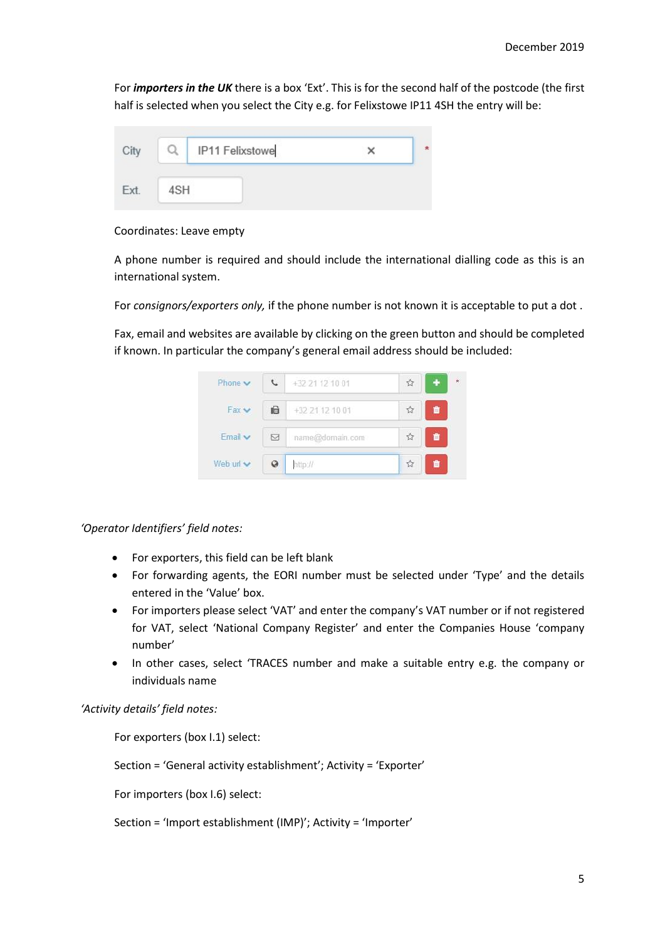For *importers in the UK* there is a box 'Ext'. This is for the second half of the postcode (the first half is selected when you select the City e.g. for Felixstowe IP11 4SH the entry will be:

|     | IP11 Felixstowe |  |
|-----|-----------------|--|
| 4SH |                 |  |

Coordinates: Leave empty

A phone number is required and should include the international dialling code as this is an international system.

For consignors/exporters only, if the phone number is not known it is acceptable to put a dot.

Fax, email and websites are available by clicking on the green button and should be completed if known. In particular the company's general email address should be included:



'Operator Identifiers' field notes:

- For exporters, this field can be left blank
- For forwarding agents, the EORI number must be selected under 'Type' and the details entered in the 'Value' box.
- For importers please select 'VAT' and enter the company's VAT number or if not registered for VAT, select 'National Company Register' and enter the Companies House 'company number'
- In other cases, select 'TRACES number and make a suitable entry e.g. the company or individuals name

'Activity details' field notes:

For exporters (box I.1) select:

Section = 'General activity establishment'; Activity = 'Exporter'

For importers (box I.6) select:

Section = 'Import establishment (IMP)'; Activity = 'Importer'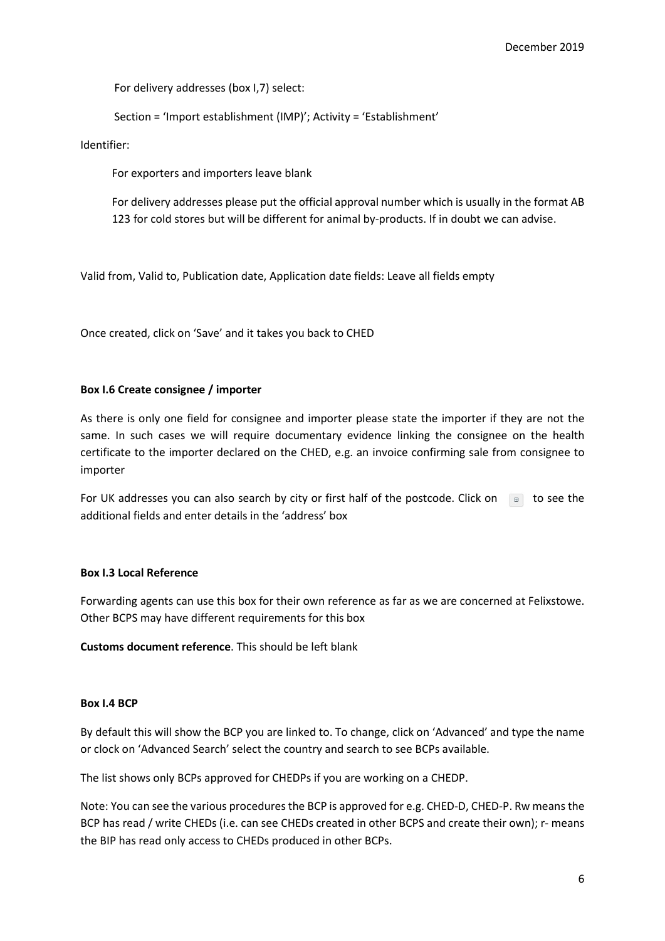For delivery addresses (box I,7) select:

Section = 'Import establishment (IMP)'; Activity = 'Establishment'

Identifier:

For exporters and importers leave blank

For delivery addresses please put the official approval number which is usually in the format AB 123 for cold stores but will be different for animal by-products. If in doubt we can advise.

Valid from, Valid to, Publication date, Application date fields: Leave all fields empty

Once created, click on 'Save' and it takes you back to CHED

### Box I.6 Create consignee / importer

As there is only one field for consignee and importer please state the importer if they are not the same. In such cases we will require documentary evidence linking the consignee on the health certificate to the importer declared on the CHED, e.g. an invoice confirming sale from consignee to importer

For UK addresses you can also search by city or first half of the postcode. Click on  $\Box$  to see the additional fields and enter details in the 'address' box

### Box I.3 Local Reference

Forwarding agents can use this box for their own reference as far as we are concerned at Felixstowe. Other BCPS may have different requirements for this box

Customs document reference. This should be left blank

### Box I.4 BCP

By default this will show the BCP you are linked to. To change, click on 'Advanced' and type the name or clock on 'Advanced Search' select the country and search to see BCPs available.

The list shows only BCPs approved for CHEDPs if you are working on a CHEDP.

Note: You can see the various procedures the BCP is approved for e.g. CHED-D, CHED-P. Rw means the BCP has read / write CHEDs (i.e. can see CHEDs created in other BCPS and create their own); r- means the BIP has read only access to CHEDs produced in other BCPs.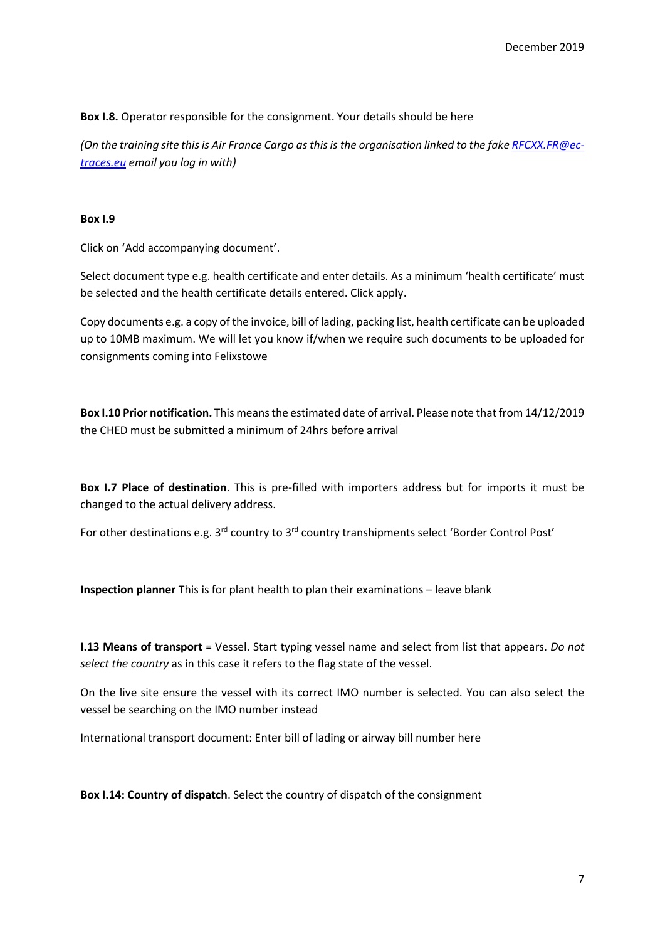Box I.8. Operator responsible for the consignment. Your details should be here

(On the training site this is Air France Cargo as this is the organisation linked to the fake RFCXX.FR@ectraces.eu email you log in with)

## Box I.9

Click on 'Add accompanying document'.

Select document type e.g. health certificate and enter details. As a minimum 'health certificate' must be selected and the health certificate details entered. Click apply.

Copy documents e.g. a copy of the invoice, bill of lading, packing list, health certificate can be uploaded up to 10MB maximum. We will let you know if/when we require such documents to be uploaded for consignments coming into Felixstowe

Box I.10 Prior notification. This means the estimated date of arrival. Please note that from 14/12/2019 the CHED must be submitted a minimum of 24hrs before arrival

Box I.7 Place of destination. This is pre-filled with importers address but for imports it must be changed to the actual delivery address.

For other destinations e.g. 3<sup>rd</sup> country to 3<sup>rd</sup> country transhipments select 'Border Control Post'

Inspection planner This is for plant health to plan their examinations – leave blank

**I.13 Means of transport** = Vessel. Start typing vessel name and select from list that appears. Do not select the country as in this case it refers to the flag state of the vessel.

On the live site ensure the vessel with its correct IMO number is selected. You can also select the vessel be searching on the IMO number instead

International transport document: Enter bill of lading or airway bill number here

Box I.14: Country of dispatch. Select the country of dispatch of the consignment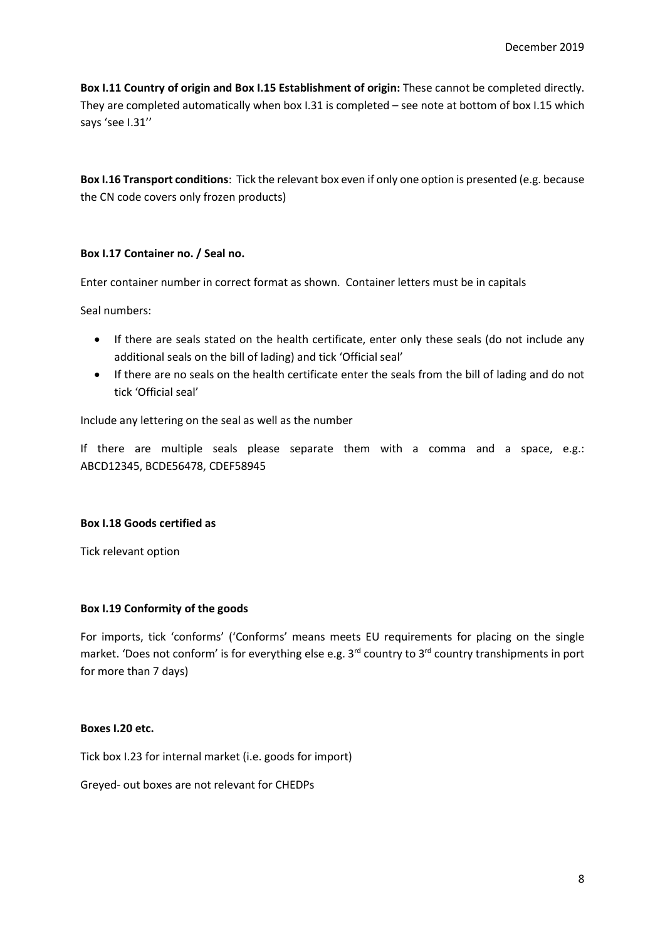Box I.11 Country of origin and Box I.15 Establishment of origin: These cannot be completed directly. They are completed automatically when box I.31 is completed – see note at bottom of box I.15 which says 'see I.31''

Box I.16 Transport conditions: Tick the relevant box even if only one option is presented (e.g. because the CN code covers only frozen products)

# Box I.17 Container no. / Seal no.

Enter container number in correct format as shown. Container letters must be in capitals

Seal numbers:

- If there are seals stated on the health certificate, enter only these seals (do not include any additional seals on the bill of lading) and tick 'Official seal'
- If there are no seals on the health certificate enter the seals from the bill of lading and do not tick 'Official seal'

Include any lettering on the seal as well as the number

If there are multiple seals please separate them with a comma and a space, e.g.: ABCD12345, BCDE56478, CDEF58945

## Box I.18 Goods certified as

Tick relevant option

## Box I.19 Conformity of the goods

For imports, tick 'conforms' ('Conforms' means meets EU requirements for placing on the single market. 'Does not conform' is for everything else e.g.  $3<sup>rd</sup>$  country to  $3<sup>rd</sup>$  country transhipments in port for more than 7 days)

# Boxes I.20 etc.

Tick box I.23 for internal market (i.e. goods for import)

Greyed- out boxes are not relevant for CHEDPs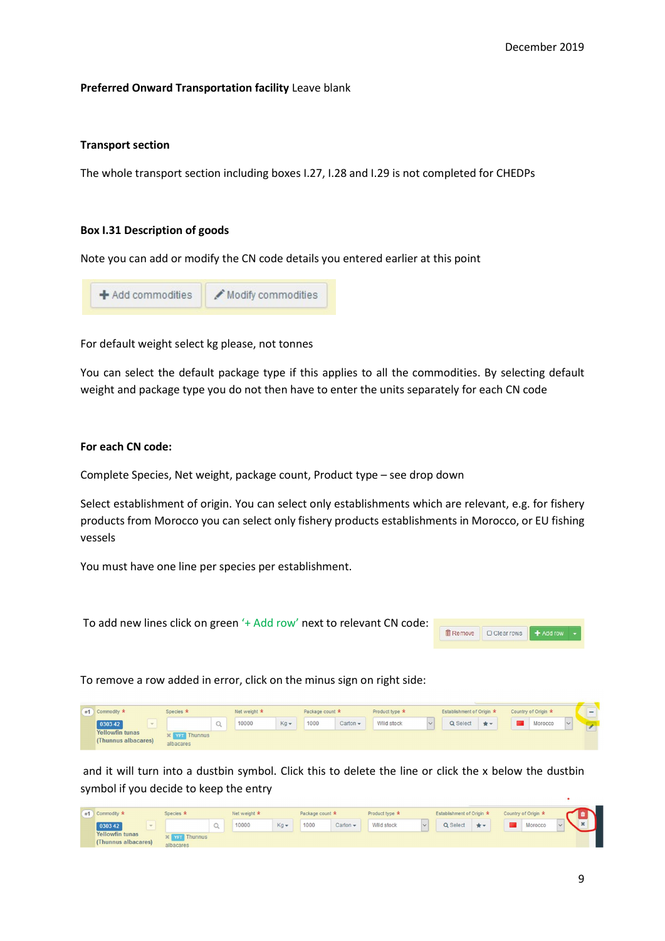### Preferred Onward Transportation facility Leave blank

### Transport section

The whole transport section including boxes I.27, I.28 and I.29 is not completed for CHEDPs

### Box I.31 Description of goods

Note you can add or modify the CN code details you entered earlier at this point

| + Add commodities | Modify commodities |
|-------------------|--------------------|
|                   |                    |

For default weight select kg please, not tonnes

You can select the default package type if this applies to all the commodities. By selecting default weight and package type you do not then have to enter the units separately for each CN code

## For each CN code:

Complete Species, Net weight, package count, Product type – see drop down

Select establishment of origin. You can select only establishments which are relevant, e.g. for fishery products from Morocco you can select only fishery products establishments in Morocco, or EU fishing vessels

You must have one line per species per establishment.

To add new lines click on green '+ Add row' next to relevant CN code:



To remove a row added in error, click on the minus sign on right side:

| #1 Commodity *                                | Species *                         |  | Net weight * |              | Package count * |               | Product type * |            | Establishment of Origin * |     | Country of Origin * |         |        | $\overline{\phantom{a}}$ |
|-----------------------------------------------|-----------------------------------|--|--------------|--------------|-----------------|---------------|----------------|------------|---------------------------|-----|---------------------|---------|--------|--------------------------|
| 030342                                        |                                   |  | 10000        | $Kq$ $\star$ | 1000            | Carton $\sim$ |                | Wild stock | Q Select                  | $*$ |                     | Morocco | $\vee$ |                          |
| <b>Yellowfin tunas</b><br>(Thunnus albacares) | <b>X</b> YFT Thunnus<br>albacares |  |              |              |                 |               |                |            |                           |     |                     |         |        |                          |

 and it will turn into a dustbin symbol. Click this to delete the line or click the x below the dustbin symbol if you decide to keep the entry

| Species *<br>#1 Commodity *                   |                                               | Net weight * |             | Package count * |               | Product type * |            | Establishment of Origin * |  | Country of Origin * |         |  |  |  |
|-----------------------------------------------|-----------------------------------------------|--------------|-------------|-----------------|---------------|----------------|------------|---------------------------|--|---------------------|---------|--|--|--|
| 030342<br><b>SHOP</b>                         |                                               | 10000        | $Kg$ $\sim$ | 1000            | Carton $\sim$ |                | Wild stock | Q Select                  |  |                     | Morocco |  |  |  |
| <b>Yellowfin tunas</b><br>(Thunnus albacares) | $\mathcal{X}$ <b>Yar</b> Thunnus<br>albacares |              |             |                 |               |                |            |                           |  |                     |         |  |  |  |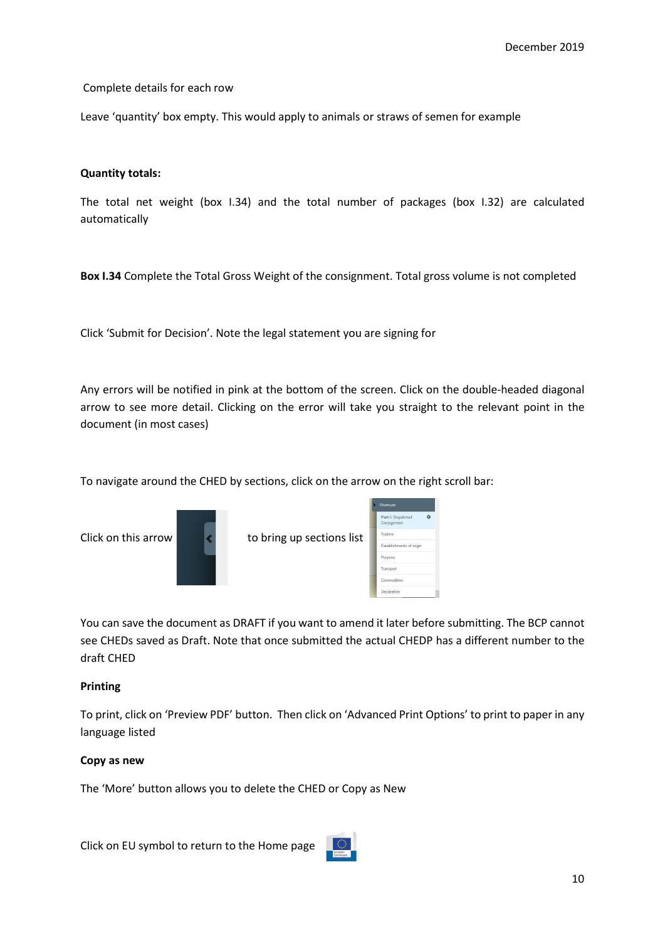Complete details for each row

Leave 'quantity' box empty. This would apply to animals or straws of semen for example

## Quantity totals:

The total net weight (box I.34) and the total number of packages (box I.32) are calculated automatically

Box I.34 Complete the Total Gross Weight of the consignment. Total gross volume is not completed

Click 'Submit for Decision'. Note the legal statement you are signing for

Any errors will be notified in pink at the bottom of the screen. Click on the double-headed diagonal arrow to see more detail. Clicking on the error will take you straight to the relevant point in the document (in most cases)

To navigate around the CHED by sections, click on the arrow on the right scroll bar:

Click on this arrow  $\left\vert \cdot\right\vert$  to bring up sections list





You can save the document as DRAFT if you want to amend it later before submitting. The BCP cannot see CHEDs saved as Draft. Note that once submitted the actual CHEDP has a different number to the draft CHED

### Printing

To print, click on 'Preview PDF' button. Then click on 'Advanced Print Options' to print to paper in any language listed

### Copy as new

The 'More' button allows you to delete the CHED or Copy as New

Click on EU symbol to return to the Home page